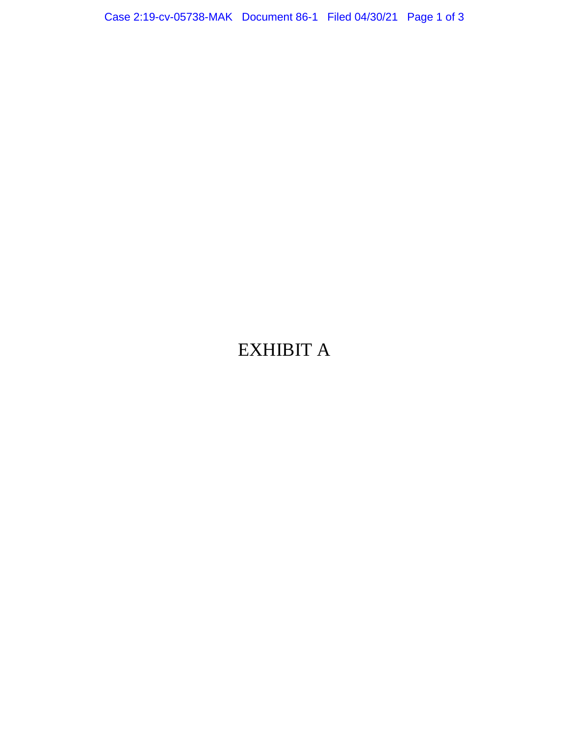Case 2:19-cv-05738-MAK Document 86-1 Filed 04/30/21 Page 1 of 3

## EXHIBIT A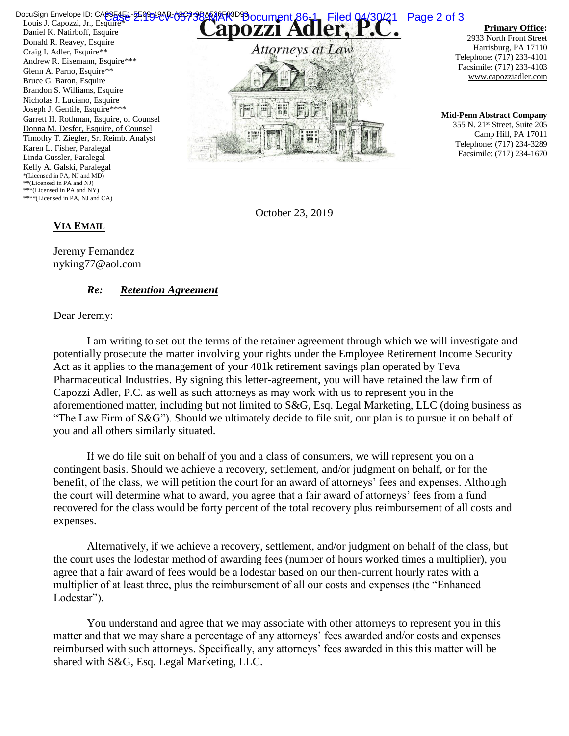Louis J. Capozzi, Jr., Esquire<sup>\*</sup> Daniel K. Natirboff, Esquire Donald R. Reavey, Esquire Craig I. Adler, Esquire\*\* Andrew R. Eisemann, Esquire\*\*\* Glenn A. Parno, Esquire\*\* Bruce G. Baron, Esquire Brandon S. Williams, Esquire Nicholas J. Luciano, Esquire Joseph J. Gentile, Esquire\*\*\*\* Garrett H. Rothman, Esquire, of Counsel Donna M. Desfor, Esquire, of Counsel Timothy T. Ziegler, Sr. Reimb. Analyst Karen L. Fisher, Paralegal Linda Gussler, Paralegal Kelly A. Galski, Paralegal \*(Licensed in PA, NJ and MD) \*\*(Licensed in PA and NJ) \*\*\*(Licensed in PA and NY) \*\*\*\*(Licensed in PA, NJ and CA) DocuSign Envelope ID: CA835451-5E9934AB-095738AMAR R3D93 OCUMent 86-1 Filed 04/30/21 Page 2 of 3



**Primary Office:**

2933 North Front Street Harrisburg, PA 17110 Telephone: (717) 233-4101 Facsimile: (717) 233-4103 www.capozziadler.com

**Mid-Penn Abstract Company** 355 N. 21st Street, Suite 205 Camp Hill, PA 17011 Telephone: (717) 234-3289 Facsimile: (717) 234-1670

October 23, 2019

## **VIA EMAIL**

Jeremy Fernandez nyking77@aol.com

## *Re: Retention Agreement*

Dear Jeremy:

I am writing to set out the terms of the retainer agreement through which we will investigate and potentially prosecute the matter involving your rights under the Employee Retirement Income Security Act as it applies to the management of your 401k retirement savings plan operated by Teva Pharmaceutical Industries. By signing this letter-agreement, you will have retained the law firm of Capozzi Adler, P.C. as well as such attorneys as may work with us to represent you in the aforementioned matter, including but not limited to S&G, Esq. Legal Marketing, LLC (doing business as "The Law Firm of S&G"). Should we ultimately decide to file suit, our plan is to pursue it on behalf of you and all others similarly situated.

If we do file suit on behalf of you and a class of consumers, we will represent you on a contingent basis. Should we achieve a recovery, settlement, and/or judgment on behalf, or for the benefit, of the class, we will petition the court for an award of attorneys' fees and expenses. Although the court will determine what to award, you agree that a fair award of attorneys' fees from a fund recovered for the class would be forty percent of the total recovery plus reimbursement of all costs and expenses.

Alternatively, if we achieve a recovery, settlement, and/or judgment on behalf of the class, but the court uses the lodestar method of awarding fees (number of hours worked times a multiplier), you agree that a fair award of fees would be a lodestar based on our then-current hourly rates with a multiplier of at least three, plus the reimbursement of all our costs and expenses (the "Enhanced Lodestar").

You understand and agree that we may associate with other attorneys to represent you in this matter and that we may share a percentage of any attorneys' fees awarded and/or costs and expenses reimbursed with such attorneys. Specifically, any attorneys' fees awarded in this this matter will be shared with S&G, Esq. Legal Marketing, LLC.